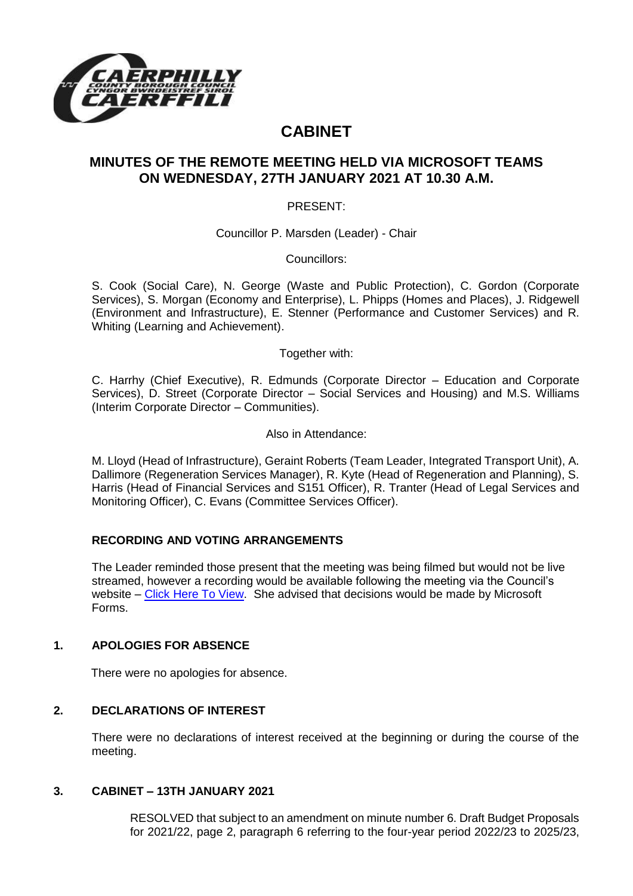

# **CABINET**

# **MINUTES OF THE REMOTE MEETING HELD VIA MICROSOFT TEAMS ON WEDNESDAY, 27TH JANUARY 2021 AT 10.30 A.M.**

PRESENT:

Councillor P. Marsden (Leader) - Chair

Councillors:

S. Cook (Social Care), N. George (Waste and Public Protection), C. Gordon (Corporate Services), S. Morgan (Economy and Enterprise), L. Phipps (Homes and Places), J. Ridgewell (Environment and Infrastructure), E. Stenner (Performance and Customer Services) and R. Whiting (Learning and Achievement).

Together with:

C. Harrhy (Chief Executive), R. Edmunds (Corporate Director – Education and Corporate Services), D. Street (Corporate Director – Social Services and Housing) and M.S. Williams (Interim Corporate Director – Communities).

Also in Attendance:

M. Lloyd (Head of Infrastructure), Geraint Roberts (Team Leader, Integrated Transport Unit), A. Dallimore (Regeneration Services Manager), R. Kyte (Head of Regeneration and Planning), S. Harris (Head of Financial Services and S151 Officer), R. Tranter (Head of Legal Services and Monitoring Officer), C. Evans (Committee Services Officer).

#### **RECORDING AND VOTING ARRANGEMENTS**

The Leader reminded those present that the meeting was being filmed but would not be live streamed, however a recording would be available following the meeting via the Council's website – [Click Here To View.](https://youtu.be/qRMEhEz0zx4) She advised that decisions would be made by Microsoft Forms.

#### **1. APOLOGIES FOR ABSENCE**

There were no apologies for absence.

#### **2. DECLARATIONS OF INTEREST**

There were no declarations of interest received at the beginning or during the course of the meeting.

#### **3. CABINET – 13TH JANUARY 2021**

RESOLVED that subject to an amendment on minute number 6. Draft Budget Proposals for 2021/22, page 2, paragraph 6 referring to the four-year period 2022/23 to 2025/23,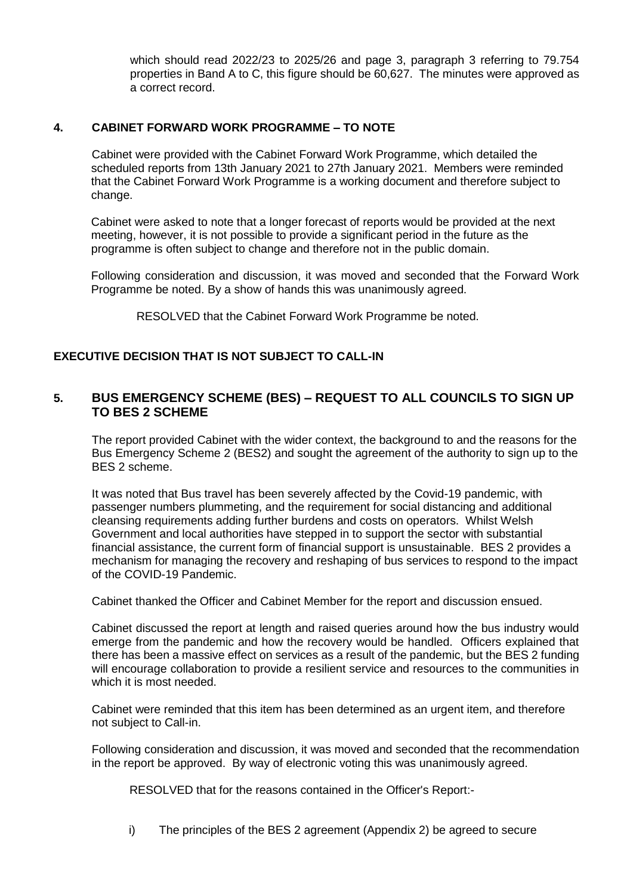which should read 2022/23 to 2025/26 and page 3, paragraph 3 referring to 79.754 properties in Band A to C, this figure should be 60,627. The minutes were approved as a correct record.

#### **4. CABINET FORWARD WORK PROGRAMME – TO NOTE**

Cabinet were provided with the Cabinet Forward Work Programme, which detailed the scheduled reports from 13th January 2021 to 27th January 2021. Members were reminded that the Cabinet Forward Work Programme is a working document and therefore subject to change.

Cabinet were asked to note that a longer forecast of reports would be provided at the next meeting, however, it is not possible to provide a significant period in the future as the programme is often subject to change and therefore not in the public domain.

Following consideration and discussion, it was moved and seconded that the Forward Work Programme be noted. By a show of hands this was unanimously agreed.

RESOLVED that the Cabinet Forward Work Programme be noted.

## **EXECUTIVE DECISION THAT IS NOT SUBJECT TO CALL-IN**

## **5. BUS EMERGENCY SCHEME (BES) – REQUEST TO ALL COUNCILS TO SIGN UP TO BES 2 SCHEME**

The report provided Cabinet with the wider context, the background to and the reasons for the Bus Emergency Scheme 2 (BES2) and sought the agreement of the authority to sign up to the BES 2 scheme.

It was noted that Bus travel has been severely affected by the Covid-19 pandemic, with passenger numbers plummeting, and the requirement for social distancing and additional cleansing requirements adding further burdens and costs on operators. Whilst Welsh Government and local authorities have stepped in to support the sector with substantial financial assistance, the current form of financial support is unsustainable. BES 2 provides a mechanism for managing the recovery and reshaping of bus services to respond to the impact of the COVID-19 Pandemic.

Cabinet thanked the Officer and Cabinet Member for the report and discussion ensued.

Cabinet discussed the report at length and raised queries around how the bus industry would emerge from the pandemic and how the recovery would be handled. Officers explained that there has been a massive effect on services as a result of the pandemic, but the BES 2 funding will encourage collaboration to provide a resilient service and resources to the communities in which it is most needed.

Cabinet were reminded that this item has been determined as an urgent item, and therefore not subject to Call-in.

Following consideration and discussion, it was moved and seconded that the recommendation in the report be approved. By way of electronic voting this was unanimously agreed.

RESOLVED that for the reasons contained in the Officer's Report:-

i) The principles of the BES 2 agreement (Appendix 2) be agreed to secure